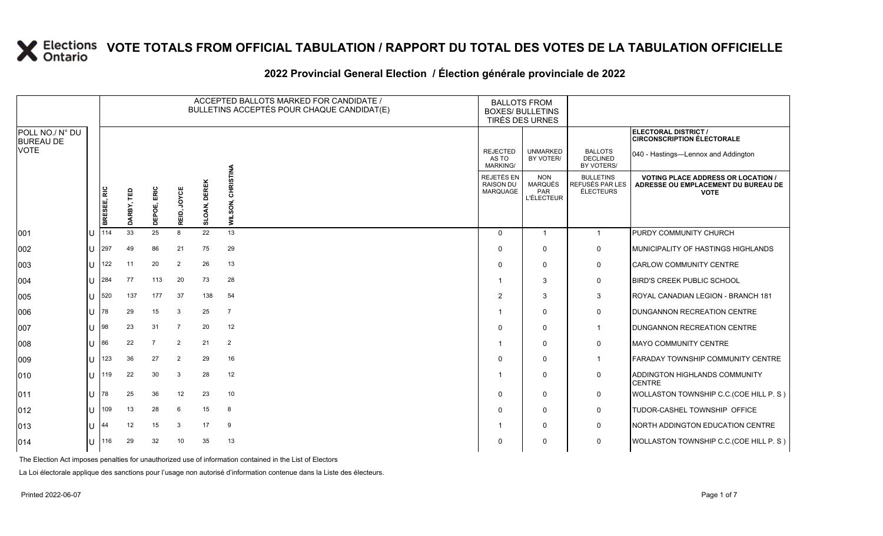#### **2022 Provincial General Election / Élection générale provinciale de 2022**

|                                     |              |             |             |                   |                |                     | ACCEPTED BALLOTS MARKED FOR CANDIDATE /<br>BULLETINS ACCEPTÉS POUR CHAQUE CANDIDAT(E) | <b>BALLOTS FROM</b><br><b>BOXES/ BULLETINS</b><br>TIRÉS DES URNES |                                                   |                                                  |                                                                                               |
|-------------------------------------|--------------|-------------|-------------|-------------------|----------------|---------------------|---------------------------------------------------------------------------------------|-------------------------------------------------------------------|---------------------------------------------------|--------------------------------------------------|-----------------------------------------------------------------------------------------------|
| POLL NO./ N° DU<br><b>BUREAU DE</b> |              |             |             |                   |                |                     |                                                                                       |                                                                   |                                                   |                                                  | ELECTORAL DISTRICT /<br><b>CIRCONSCRIPTION ÉLECTORALE</b>                                     |
| <b>VOTE</b>                         |              |             |             |                   |                |                     |                                                                                       | <b>REJECTED</b><br>AS TO<br><b>MARKING/</b>                       | <b>UNMARKED</b><br>BY VOTER/                      | <b>BALLOTS</b><br><b>DECLINED</b><br>BY VOTERS/  | 040 - Hastings-Lennox and Addington                                                           |
|                                     |              | BRESEE, RIC | Ê<br>DARBY, | ERIC<br>POE,<br>품 | JOYCE<br>REID, | <b>SLOAN, DEREK</b> | <b>CHRISTINA</b><br>WILSON,                                                           | REJETÉS EN<br><b>RAISON DU</b><br><b>MARQUAGE</b>                 | <b>NON</b><br>MARQUÉS<br>PAR<br><b>L'ÉLECTEUR</b> | <b>BULLETINS</b><br>REFUSÉS PAR LES<br>ÉLECTEURS | <b>VOTING PLACE ADDRESS OR LOCATION</b><br>ADRESSE OU EMPLACEMENT DU BUREAU DE<br><b>VOTE</b> |
| 001                                 |              | 114         | 33          | 25                | 8              | 22                  | 13                                                                                    | $\Omega$                                                          | $\mathbf{1}$                                      | $\mathbf{1}$                                     | PURDY COMMUNITY CHURCH                                                                        |
| 002                                 | U            | 297         | 49          | 86                | 21             | 75                  | 29                                                                                    | $\Omega$                                                          | $\Omega$                                          | $\mathbf 0$                                      | MUNICIPALITY OF HASTINGS HIGHLANDS                                                            |
| 003                                 | $\mathbf{U}$ | 122         | 11          | 20                | $\overline{2}$ | 26                  | 13                                                                                    | $\mathbf 0$                                                       | $\Omega$                                          | 0                                                | CARLOW COMMUNITY CENTRE                                                                       |
| 004                                 | U            | 284         | 77          | 113               | 20             | 73                  | 28                                                                                    | -1                                                                | 3                                                 | 0                                                | <b>BIRD'S CREEK PUBLIC SCHOOL</b>                                                             |
| 005                                 | $\mathbf{L}$ | 520         | 137         | 177               | 37             | 138                 | 54                                                                                    | $\overline{2}$                                                    | 3                                                 | 3                                                | ROYAL CANADIAN LEGION - BRANCH 181                                                            |
| 006                                 | U            | 178         | 29          | 15                | 3              | 25                  | $\overline{7}$                                                                        |                                                                   | 0                                                 | $\mathbf 0$                                      | DUNGANNON RECREATION CENTRE                                                                   |
| 007                                 | U            | 98          | 23          | 31                | 7              | 20                  | 12                                                                                    | $\Omega$                                                          | $\Omega$                                          | 1                                                | DUNGANNON RECREATION CENTRE                                                                   |
| 008                                 |              | 86          | 22          | $\overline{7}$    | $\overline{2}$ | 21                  | $\overline{2}$                                                                        | -1                                                                | $\Omega$                                          | 0                                                | <b>MAYO COMMUNITY CENTRE</b>                                                                  |
| 009                                 | U            | 123         | 36          | 27                | $\overline{2}$ | 29                  | 16                                                                                    | $\Omega$                                                          | $\Omega$                                          | $\mathbf 1$                                      | FARADAY TOWNSHIP COMMUNITY CENTRE                                                             |
| 010                                 | U            | 119         | 22          | 30                | 3              | 28                  | 12                                                                                    |                                                                   | $\Omega$                                          | 0                                                | ADDINGTON HIGHLANDS COMMUNITY<br><b>CENTRE</b>                                                |
| 011                                 | U            | 78          | 25          | 36                | 12             | 23                  | 10                                                                                    | $\Omega$                                                          | $\Omega$                                          | 0                                                | WOLLASTON TOWNSHIP C.C. (COE HILL P. S)                                                       |
| 012                                 | $\mathbf{U}$ | 109         | 13          | 28                | 6              | 15                  | 8                                                                                     | $\mathbf 0$                                                       | $\Omega$                                          | 0                                                | TUDOR-CASHEL TOWNSHIP OFFICE                                                                  |
| 013                                 |              | 44          | 12          | 15                | 3              | 17                  | 9                                                                                     |                                                                   | $\Omega$                                          | 0                                                | NORTH ADDINGTON EDUCATION CENTRE                                                              |
| 014                                 |              | 116         | 29          | 32                | 10             | 35                  | 13                                                                                    | $\Omega$                                                          | 0                                                 | 0                                                | WOLLASTON TOWNSHIP C.C. (COE HILL P. S)                                                       |

The Election Act imposes penalties for unauthorized use of information contained in the List of Electors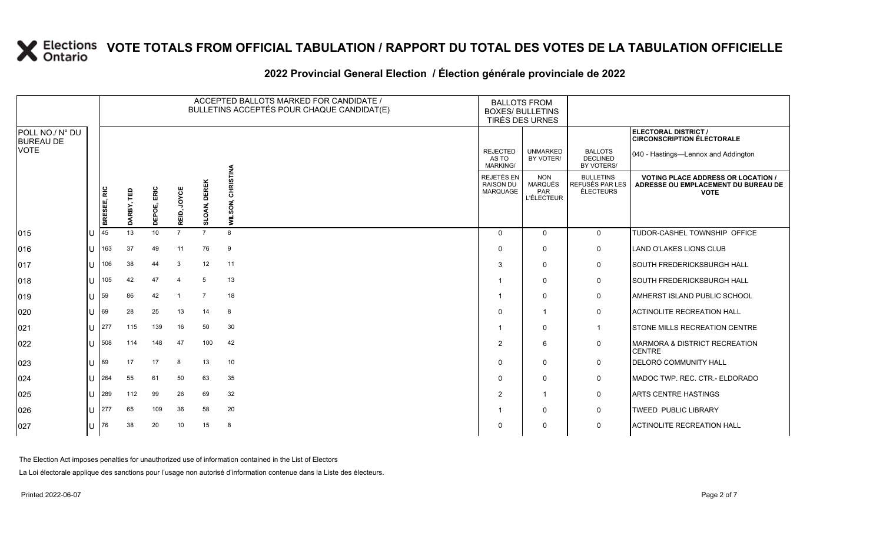#### **2022 Provincial General Election / Élection générale provinciale de 2022**

|                                     |  | ACCEPTED BALLOTS MARKED FOR CANDIDATE /<br>BULLETINS ACCEPTÉS POUR CHAQUE CANDIDAT(E) |            |                |                |                     |                   | <b>BALLOTS FROM</b><br><b>BOXES/ BULLETINS</b><br>TIRÉS DES URNES |                                                   |                                                         |                                                                                                 |
|-------------------------------------|--|---------------------------------------------------------------------------------------|------------|----------------|----------------|---------------------|-------------------|-------------------------------------------------------------------|---------------------------------------------------|---------------------------------------------------------|-------------------------------------------------------------------------------------------------|
| POLL NO./ N° DU<br><b>BUREAU DE</b> |  |                                                                                       |            |                |                |                     |                   |                                                                   |                                                   |                                                         | <b>ELECTORAL DISTRICT /</b><br><b>CIRCONSCRIPTION ÉLECTORALE</b>                                |
| <b>VOTE</b>                         |  |                                                                                       |            |                |                |                     |                   | <b>REJECTED</b><br>AS TO<br><b>MARKING/</b>                       | <b>UNMARKED</b><br>BY VOTER/                      | <b>BALLOTS</b><br><b>DECLINED</b><br>BY VOTERS/         | 040 - Hastings-Lennox and Addington                                                             |
|                                     |  | BRESEE, RIC                                                                           | DARBY, TED | ERIC<br>DEPOE, | REID, JOYCE    | <b>SLOAN, DEREK</b> | WILSON, CHRISTINA | REJETÉS EN<br><b>RAISON DU</b><br>MARQUAGE                        | <b>NON</b><br>MARQUÉS<br>PAR<br><b>L'ÉLECTEUR</b> | <b>BULLETINS</b><br>REFUSÉS PAR LES<br><b>ÉLECTEURS</b> | <b>VOTING PLACE ADDRESS OR LOCATION /</b><br>ADRESSE OU EMPLACEMENT DU BUREAU DE<br><b>VOTE</b> |
| 015                                 |  | 45                                                                                    | 13         | 10             | $\overline{7}$ | $\overline{7}$      | 8                 | $\Omega$                                                          | $\mathbf{0}$                                      | $\mathbf 0$                                             | TUDOR-CASHEL TOWNSHIP OFFICE                                                                    |
| 016                                 |  | 163                                                                                   | 37         | 49             | 11             | 76                  | 9                 | $\Omega$                                                          | $\mathbf 0$                                       | $\mathsf{O}$                                            | LAND O'LAKES LIONS CLUB                                                                         |
| 017                                 |  | 106                                                                                   | 38         | 44             | 3              | 12                  | 11                | 3                                                                 | $\mathbf 0$                                       | $\mathsf{O}$                                            | <b>SOUTH FREDERICKSBURGH HALL</b>                                                               |
| 018                                 |  | 105                                                                                   | 42         | 47             |                | 5                   | 13                |                                                                   | $\mathbf{0}$                                      | $\mathbf 0$                                             | <b>SOUTH FREDERICKSBURGH HALL</b>                                                               |
| 019                                 |  | 59                                                                                    | 86         | 42             |                | 7                   | 18                |                                                                   | $\mathbf 0$                                       | $\mathbf 0$                                             | <b>AMHERST ISLAND PUBLIC SCHOOL</b>                                                             |
| 020                                 |  | 69                                                                                    | 28         | 25             | 13             | 14                  | 8                 | $\Omega$                                                          | $\mathbf{1}$                                      | $\mathbf 0$                                             | <b>ACTINOLITE RECREATION HALL</b>                                                               |
| 021                                 |  | 277                                                                                   | 115        | 139            | 16             | 50                  | 30                |                                                                   | 0                                                 |                                                         | STONE MILLS RECREATION CENTRE                                                                   |
| 022                                 |  | 508                                                                                   | 114        | 148            | 47             | 100                 | 42                | 2                                                                 | 6                                                 | $\mathbf 0$                                             | MARMORA & DISTRICT RECREATION<br><b>CENTRE</b>                                                  |
| 023                                 |  | 69                                                                                    | 17         | 17             | 8              | 13                  | 10                | $\Omega$                                                          | $\mathbf 0$                                       | $\mathbf 0$                                             | <b>IDELORO COMMUNITY HALL</b>                                                                   |
| 024                                 |  | 264                                                                                   | 55         | 61             | 50             | 63                  | 35                | $\Omega$                                                          | $\mathbf 0$                                       | $\mathbf 0$                                             | MADOC TWP. REC. CTR.- ELDORADO                                                                  |
| 025                                 |  | 289                                                                                   | 112        | 99             | 26             | 69                  | 32                | $\overline{2}$                                                    | $\mathbf{1}$                                      | $\mathbf 0$                                             | <b>ARTS CENTRE HASTINGS</b>                                                                     |
| 026                                 |  | 277                                                                                   | 65         | 109            | 36             | 58                  | 20                |                                                                   | $\mathbf 0$                                       | $\mathsf{O}$                                            | <b>TWEED PUBLIC LIBRARY</b>                                                                     |
| 027                                 |  | 76                                                                                    | 38         | 20             | 10             | 15                  | -8                | n                                                                 | $\Omega$                                          | $\mathsf{O}$                                            | <b>ACTINOLITE RECREATION HALL</b>                                                               |

The Election Act imposes penalties for unauthorized use of information contained in the List of Electors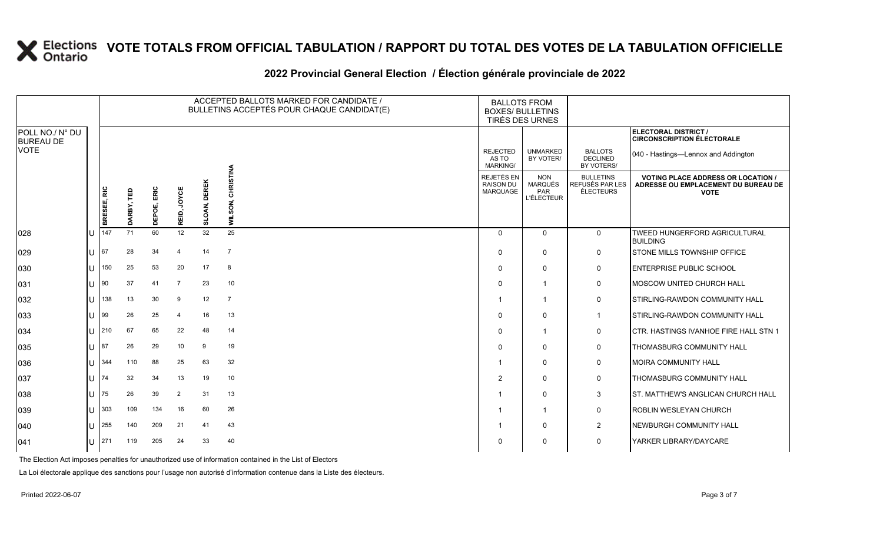#### **2022 Provincial General Election / Élection générale provinciale de 2022**

|                                     |             |            |             |                       |                        | ACCEPTED BALLOTS MARKED FOR CANDIDATE /<br>BULLETINS ACCEPTÉS POUR CHAQUE CANDIDAT(E) | <b>BALLOTS FROM</b><br><b>BOXES/ BULLETINS</b><br>TIRÉS DES URNES |                                                          |                                                  |                                                                                                 |
|-------------------------------------|-------------|------------|-------------|-----------------------|------------------------|---------------------------------------------------------------------------------------|-------------------------------------------------------------------|----------------------------------------------------------|--------------------------------------------------|-------------------------------------------------------------------------------------------------|
| POLL NO./ N° DU<br><b>BUREAU DE</b> |             |            |             |                       |                        |                                                                                       |                                                                   |                                                          |                                                  | ELECTORAL DISTRICT /<br><b>CIRCONSCRIPTION ÉLECTORALE</b>                                       |
| VOTE                                |             |            |             |                       |                        |                                                                                       | <b>REJECTED</b><br>AS TO<br><b>MARKING/</b>                       | <b>UNMARKED</b><br>BY VOTER/                             | <b>BALLOTS</b><br><b>DECLINED</b><br>BY VOTERS/  | 040 - Hastings-Lennox and Addington                                                             |
|                                     | BRESEE, RIC | DARBY, TED | DEPOE, ERIC | REID, JOYCE           | <b>DEREK</b><br>SLOAN, | <b>CHRISTINA</b><br>WILSON,                                                           | REJETÉS EN<br><b>RAISON DU</b><br>MARQUAGE                        | <b>NON</b><br><b>MARQUÉS</b><br>PAR<br><b>L'ÉLECTEUR</b> | <b>BULLETINS</b><br>REFUSÉS PAR LES<br>ÉLECTEURS | <b>VOTING PLACE ADDRESS OR LOCATION /</b><br>ADRESSE OU EMPLACEMENT DU BUREAU DE<br><b>VOTE</b> |
| 028                                 | 147         | 71         | 60          | 12                    | 32                     | 25                                                                                    | $\Omega$                                                          | $\mathbf{0}$                                             | $\overline{0}$                                   | TWEED HUNGERFORD AGRICULTURAL<br><b>BUILDING</b>                                                |
| 029                                 | 67          | 28         | 34          | $\overline{4}$        | 14                     | $\overline{7}$                                                                        | $\Omega$                                                          | $\mathbf 0$                                              | $\mathbf 0$                                      | <b>STONE MILLS TOWNSHIP OFFICE</b>                                                              |
| 030                                 | 150         | 25         | 53          | 20                    | 17                     | 8                                                                                     | $\Omega$                                                          | $\Omega$                                                 | $\mathbf 0$                                      | <b>ENTERPRISE PUBLIC SCHOOL</b>                                                                 |
| 031                                 | 90          | 37         | 41          | $\overline{7}$        | 23                     | 10                                                                                    | $\Omega$                                                          | $\mathbf 1$                                              | 0                                                | <b>IMOSCOW UNITED CHURCH HALL</b>                                                               |
| 032                                 | 138         | 13         | 30          | 9                     | 12                     | $\overline{7}$                                                                        | -1                                                                | $\overline{1}$                                           | 0                                                | STIRLING-RAWDON COMMUNITY HALL                                                                  |
| 033                                 | 99          | 26         | 25          | $\boldsymbol{\Delta}$ | 16                     | 13                                                                                    | $\mathbf{0}$                                                      | $\mathbf{0}$                                             | $\mathbf{1}$                                     | STIRLING-RAWDON COMMUNITY HALL                                                                  |
| 034                                 | 210         | 67         | 65          | 22                    | 48                     | 14                                                                                    | $\Omega$                                                          | $\mathbf 1$                                              | 0                                                | <b>ICTR. HASTINGS IVANHOE FIRE HALL STN 1</b>                                                   |
| 035                                 | 87          | 26         | 29          | 10                    | 9                      | 19                                                                                    | $\Omega$                                                          | $\Omega$                                                 | 0                                                | THOMASBURG COMMUNITY HALL                                                                       |
| 036                                 | 344         | 110        | 88          | 25                    | 63                     | 32                                                                                    | 1                                                                 | $\mathbf{0}$                                             | $\mathbf 0$                                      | MOIRA COMMUNITY HALL                                                                            |
| 037                                 | 74          | 32         | 34          | 13                    | 19                     | 10                                                                                    | 2                                                                 | $\Omega$                                                 | $\mathbf 0$                                      | THOMASBURG COMMUNITY HALL                                                                       |
| 038                                 | 75          | 26         | 39          | $\overline{2}$        | 31                     | 13                                                                                    | -1                                                                | $\Omega$                                                 | 3                                                | <b>ST. MATTHEW'S ANGLICAN CHURCH HALL</b>                                                       |
| 039                                 | 303         | 109        | 134         | 16                    | 60                     | 26                                                                                    | -1                                                                | $\overline{1}$                                           | $\mathbf 0$                                      | <b>ROBLIN WESLEYAN CHURCH</b>                                                                   |
| 040                                 | 255         | 140        | 209         | 21                    | 41                     | 43                                                                                    |                                                                   | $\mathbf{0}$                                             | $\overline{2}$                                   | NEWBURGH COMMUNITY HALL                                                                         |
| 041                                 | 271         | 119        | 205         | 24                    | 33                     | 40                                                                                    | O                                                                 | $\Omega$                                                 | $\mathbf 0$                                      | YARKER LIBRARY/DAYCARE                                                                          |

The Election Act imposes penalties for unauthorized use of information contained in the List of Electors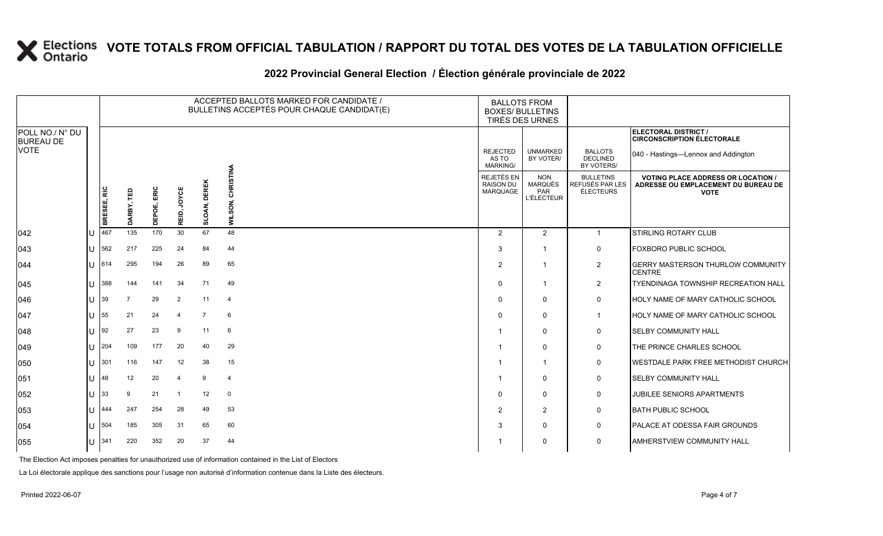#### **2022 Provincial General Election / Élection générale provinciale de 2022**

|                                     |  |             |            |             |                          |                        | ACCEPTED BALLOTS MARKED FOR CANDIDATE /<br>BULLETINS ACCEPTÉS POUR CHAQUE CANDIDAT(E) | <b>BALLOTS FROM</b><br><b>BOXES/ BULLETINS</b><br>TIRÉS DES URNES |                                                   |                                                  |                                                                                               |
|-------------------------------------|--|-------------|------------|-------------|--------------------------|------------------------|---------------------------------------------------------------------------------------|-------------------------------------------------------------------|---------------------------------------------------|--------------------------------------------------|-----------------------------------------------------------------------------------------------|
| POLL NO./ N° DU<br><b>BUREAU DE</b> |  |             |            |             |                          |                        |                                                                                       |                                                                   |                                                   |                                                  | <b>ELECTORAL DISTRICT /</b><br><b>CIRCONSCRIPTION ÉLECTORALE</b>                              |
| <b>VOTE</b>                         |  |             |            |             |                          |                        |                                                                                       | <b>REJECTED</b><br>AS TO<br><b>MARKING/</b>                       | <b>UNMARKED</b><br>BY VOTER/                      | <b>BALLOTS</b><br><b>DECLINED</b><br>BY VOTERS/  | 040 - Hastings-Lennox and Addington                                                           |
|                                     |  | BRESEE, RIC | DARBY, TED | DEPOE, ERIC | REID, JOYCE              | <b>DEREK</b><br>SLOAN, | <b>CHRISTINA</b><br>WILSON,                                                           | REJETÉS EN<br><b>RAISON DU</b><br>MARQUAGE                        | <b>NON</b><br><b>MARQUÉS</b><br>PAR<br>L'ÉLECTEUR | <b>BULLETINS</b><br>REFUSÉS PAR LES<br>ÉLECTEURS | <b>VOTING PLACE ADDRESS OR LOCATION</b><br>ADRESSE OU EMPLACEMENT DU BUREAU DE<br><b>VOTE</b> |
| 042                                 |  | 467         | 135        | 170         | 30                       | 67                     | 48                                                                                    | 2                                                                 | 2                                                 | $\overline{1}$                                   | <b>STIRLING ROTARY CLUB</b>                                                                   |
| 043                                 |  | 562         | 217        | 225         | 24                       | 84                     | 44                                                                                    | 3                                                                 | $\mathbf{1}$                                      | 0                                                | <b>FOXBORO PUBLIC SCHOOL</b>                                                                  |
| 044                                 |  | 614         | 295        | 194         | 26                       | 89                     | 65                                                                                    | $\overline{2}$                                                    | $\mathbf{1}$                                      | $\overline{2}$                                   | <b>GERRY MASTERSON THURLOW COMMUNITY</b><br><b>CENTRE</b>                                     |
| 045                                 |  | 388         | 144        | 141         | 34                       | 71                     | 49                                                                                    | $\Omega$                                                          | 1                                                 | $\overline{2}$                                   | <b>TYENDINAGA TOWNSHIP RECREATION HALL</b>                                                    |
| 046                                 |  | 39          | 7          | 29          | $\overline{2}$           | 11                     | 4                                                                                     | $\Omega$                                                          | $\mathbf{0}$                                      | $\mathbf 0$                                      | HOLY NAME OF MARY CATHOLIC SCHOOL                                                             |
| 047                                 |  | 55          | 21         | 24          | $\boldsymbol{\varDelta}$ | $\overline{7}$         | 6                                                                                     | $\Omega$                                                          | 0                                                 | $\overline{1}$                                   | HOLY NAME OF MARY CATHOLIC SCHOOL                                                             |
| 048                                 |  | 92          | 27         | 23          | 9                        | 11                     | 6                                                                                     |                                                                   | $\mathbf{0}$                                      | 0                                                | <b>SELBY COMMUNITY HALL</b>                                                                   |
| 049                                 |  | 204         | 109        | 177         | 20                       | 40                     | 29                                                                                    | -1                                                                | $\mathbf{0}$                                      | 0                                                | <b>THE PRINCE CHARLES SCHOOL</b>                                                              |
| 050                                 |  | 301         | 116        | 147         | 12                       | 38                     | 15                                                                                    | -1                                                                | 1                                                 | 0                                                | <b>WESTDALE PARK FREE METHODIST CHURCH</b>                                                    |
| 051                                 |  | 48          | 12         | 20          | $\boldsymbol{\varDelta}$ | 9                      | $\overline{4}$                                                                        |                                                                   | $\mathbf{0}$                                      | 0                                                | <b>SELBY COMMUNITY HALL</b>                                                                   |
| 052                                 |  | 33          | 9          | 21          | -1                       | 12                     | $\mathbf 0$                                                                           | $\Omega$                                                          | $\mathbf{0}$                                      | 0                                                | <b>JUBILEE SENIORS APARTMENTS</b>                                                             |
| 053                                 |  | 444         | 247        | 254         | 28                       | 49                     | 53                                                                                    | $\overline{2}$                                                    | $\overline{2}$                                    | 0                                                | <b>BATH PUBLIC SCHOOL</b>                                                                     |
| 054                                 |  | 504         | 185        | 305         | 31                       | 65                     | 60                                                                                    | 3                                                                 | $\mathbf{0}$                                      | 0                                                | <b>PALACE AT ODESSA FAIR GROUNDS</b>                                                          |
| 055                                 |  | 341         | 220        | 352         | 20                       | 37                     | 44                                                                                    |                                                                   | 0                                                 | 0                                                | <b>AMHERSTVIEW COMMUNITY HALL</b>                                                             |

The Election Act imposes penalties for unauthorized use of information contained in the List of Electors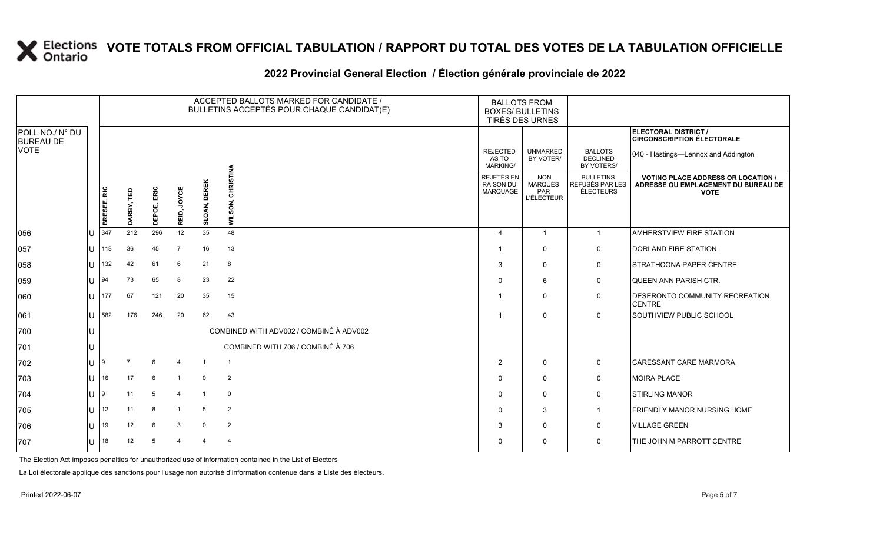### **2022 Provincial General Election / Élection générale provinciale de 2022**

|                                     |              |                |            |             |                |                     | ACCEPTED BALLOTS MARKED FOR CANDIDATE /<br>BULLETINS ACCEPTÉS POUR CHAQUE CANDIDAT(E) | <b>BALLOTS FROM</b><br><b>BOXES/ BULLETINS</b>           | TIRÉS DES URNES                                          |                                                  |                                                                                                 |
|-------------------------------------|--------------|----------------|------------|-------------|----------------|---------------------|---------------------------------------------------------------------------------------|----------------------------------------------------------|----------------------------------------------------------|--------------------------------------------------|-------------------------------------------------------------------------------------------------|
| POLL NO./ N° DU<br><b>BUREAU DE</b> |              |                |            |             |                |                     |                                                                                       |                                                          |                                                          |                                                  | ELECTORAL DISTRICT /<br><b>CIRCONSCRIPTION ÉLECTORALE</b>                                       |
| <b>VOTE</b>                         |              |                |            |             |                |                     |                                                                                       | <b>REJECTED</b><br>AS TO<br><b>MARKING/</b>              | <b>UNMARKED</b><br>BY VOTER/                             | <b>BALLOTS</b><br><b>DECLINED</b><br>BY VOTERS/  | 040 - Hastings-Lennox and Addington                                                             |
|                                     |              | BRESEE, RIC    | DARBY, TED | DEPOE, ERIC | REID, JOYCE    | <b>SLOAN, DEREK</b> | <b>CHRISTINA</b><br>WILSON,                                                           | <b>REJETÉS EN</b><br><b>RAISON DU</b><br><b>MARQUAGE</b> | <b>NON</b><br><b>MARQUÉS</b><br>PAR<br><b>L'ÉLECTEUR</b> | <b>BULLETINS</b><br>REFUSÉS PAR LES<br>ÉLECTEURS | <b>VOTING PLACE ADDRESS OR LOCATION /</b><br>ADRESSE OU EMPLACEMENT DU BUREAU DE<br><b>VOTE</b> |
| 056                                 | U            | 347            | 212        | 296         | 12             | 35                  | 48                                                                                    | 4                                                        | $\overline{1}$                                           | $\mathbf{1}$                                     | <b>AMHERSTVIEW FIRE STATION</b>                                                                 |
| 057                                 | U            | 118            | 36         | 45          | -7             | 16                  | 13                                                                                    |                                                          | $\mathbf 0$                                              | 0                                                | DORLAND FIRE STATION                                                                            |
| 058                                 | $\cup$       | 132            | 42         | 61          | 6              | 21                  | 8                                                                                     | 3                                                        | $\mathbf 0$                                              | 0                                                | <b>STRATHCONA PAPER CENTRE</b>                                                                  |
| 059                                 | $\bigcup$ 94 |                | 73         | 65          | 8              | 23                  | 22                                                                                    | $\Omega$                                                 | 6                                                        | 0                                                | <b>QUEEN ANN PARISH CTR.</b>                                                                    |
| 060                                 |              | $U$ 177        | 67         | 121         | 20             | 35                  | 15                                                                                    |                                                          | $\mathbf 0$                                              | 0                                                | <b>DESERONTO COMMUNITY RECREATION</b><br><b>CENTRE</b>                                          |
| 061                                 |              | $U$ 582        | 176        | 246         | 20             | 62                  | 43                                                                                    |                                                          | $\mathbf 0$                                              | 0                                                | <b>SOUTHVIEW PUBLIC SCHOOL</b>                                                                  |
| 700                                 |              |                |            |             |                |                     | COMBINED WITH ADV002 / COMBINÉ À ADV002                                               |                                                          |                                                          |                                                  |                                                                                                 |
| 701                                 | U            |                |            |             |                |                     | COMBINED WITH 706 / COMBINÉ À 706                                                     |                                                          |                                                          |                                                  |                                                                                                 |
| 702                                 | $U$  9       |                |            | 6           | $\overline{4}$ | $\mathbf{1}$        | $\overline{1}$                                                                        | 2                                                        | $\mathbf 0$                                              | 0                                                | CARESSANT CARE MARMORA                                                                          |
| 703                                 |              | $\lfloor$   16 | 17         | 6           | $\overline{1}$ | $\overline{0}$      | $\overline{2}$                                                                        | $\Omega$                                                 | $\mathbf 0$                                              | 0                                                | <b>MOIRA PLACE</b>                                                                              |
| 704                                 | U 9          |                | 11         | 5           | $\overline{4}$ | $\overline{1}$      | $\mathbf 0$                                                                           | $\Omega$                                                 | $\mathbf 0$                                              | 0                                                | <b>STIRLING MANOR</b>                                                                           |
| 705                                 |              | $11$ 12        | 11         | 8           |                | 5                   | $\overline{2}$                                                                        | $\Omega$                                                 | 3                                                        | $\overline{1}$                                   | <b>FRIENDLY MANOR NURSING HOME</b>                                                              |
| 706                                 |              | $U$ 19         | 12         | 6           | 3              | $\mathbf 0$         | $\overline{2}$                                                                        | 3                                                        | $\mathbf 0$                                              | $\mathbf 0$                                      | <b>VILLAGE GREEN</b>                                                                            |
| 707                                 |              | U $18$         | 12         | 5           | $\overline{4}$ |                     | $\overline{4}$                                                                        | $\Omega$                                                 | $\mathbf 0$                                              | 0                                                | THE JOHN M PARROTT CENTRE                                                                       |

The Election Act imposes penalties for unauthorized use of information contained in the List of Electors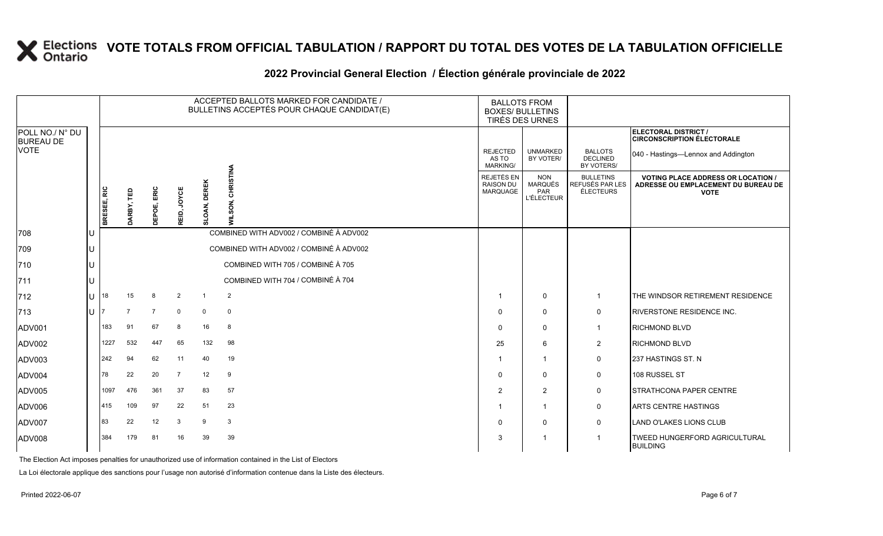### **2022 Provincial General Election / Élection générale provinciale de 2022**

|                                                    |    |             | ACCEPTED BALLOTS MARKED FOR CANDIDATE /<br>BULLETINS ACCEPTÉS POUR CHAQUE CANDIDAT(E) |                |                |                        |                                                        |                                             | <b>BALLOTS FROM</b><br><b>BOXES/ BULLETINS</b><br>TIRÉS DES URNES |                                                  |                                                                                                 |
|----------------------------------------------------|----|-------------|---------------------------------------------------------------------------------------|----------------|----------------|------------------------|--------------------------------------------------------|---------------------------------------------|-------------------------------------------------------------------|--------------------------------------------------|-------------------------------------------------------------------------------------------------|
| POLL NO./ N° DU<br><b>BUREAU DE</b><br><b>VOTE</b> |    |             |                                                                                       |                |                |                        |                                                        |                                             |                                                                   |                                                  | ELECTORAL DISTRICT /<br><b>CIRCONSCRIPTION ÉLECTORALE</b>                                       |
|                                                    |    |             |                                                                                       |                |                |                        |                                                        | <b>REJECTED</b><br>AS TO<br><b>MARKING/</b> | <b>UNMARKED</b><br>BY VOTER/                                      | <b>BALLOTS</b><br><b>DECLINED</b><br>BY VOTERS/  | 040 - Hastings-Lennox and Addington                                                             |
|                                                    |    | BRESEE, RIC | DARBY, TED                                                                            | DEPOE, ERIC    | JOYCE<br>REID, | <b>DEREK</b><br>SLOAN, | <b>CHRISTINA</b><br>ξ<br>Ō<br>$\bar{\bar{\mathbf{z}}}$ | REJETÉS EN<br><b>RAISON DU</b><br>MARQUAGE  | <b>NON</b><br><b>MARQUÉS</b><br>PAR<br><b>L'ÉLECTEUR</b>          | <b>BULLETINS</b><br>REFUSÉS PAR LES<br>ÉLECTEURS | <b>VOTING PLACE ADDRESS OR LOCATION /</b><br>ADRESSE OU EMPLACEMENT DU BUREAU DE<br><b>VOTE</b> |
| 708                                                | IU |             |                                                                                       |                |                |                        | COMBINED WITH ADV002 / COMBINÉ À ADV002                |                                             |                                                                   |                                                  |                                                                                                 |
| 709                                                | IU |             |                                                                                       |                |                |                        | COMBINED WITH ADV002 / COMBINÉ À ADV002                |                                             |                                                                   |                                                  |                                                                                                 |
| 710                                                | IU |             |                                                                                       |                |                |                        | COMBINED WITH 705 / COMBINÉ À 705                      |                                             |                                                                   |                                                  |                                                                                                 |
| 711                                                | IU |             |                                                                                       |                |                |                        | COMBINED WITH 704 / COMBINÉ À 704                      |                                             |                                                                   |                                                  |                                                                                                 |
| 712                                                | ΙU | 18          | 15                                                                                    | 8              | $\overline{2}$ | $\overline{1}$         | $\overline{2}$                                         | -1                                          | 0                                                                 | $\mathbf{1}$                                     | THE WINDSOR RETIREMENT RESIDENCE                                                                |
| 713                                                | lU |             | $\overline{7}$                                                                        | $\overline{7}$ | $\mathbf 0$    | $\mathbf 0$            | $\mathbf 0$                                            | $\Omega$                                    | $\mathbf{0}$                                                      | 0                                                | <b>RIVERSTONE RESIDENCE INC.</b>                                                                |
| ADV001                                             |    | 183         | 91                                                                                    | 67             | 8              | 16                     | 8                                                      | $\Omega$                                    | $\mathbf{0}$                                                      | $\mathbf{1}$                                     | <b>RICHMOND BLVD</b>                                                                            |
| ADV002                                             |    | 1227        | 532                                                                                   | 447            | 65             | 132                    | 98                                                     | 25                                          | 6                                                                 | $\overline{2}$                                   | <b>RICHMOND BLVD</b>                                                                            |
| ADV003                                             |    | 242         | 94                                                                                    | 62             | 11             | 40                     | 19                                                     |                                             | -1                                                                | 0                                                | 237 HASTINGS ST. N                                                                              |
| ADV004                                             |    | 78          | 22                                                                                    | 20             | $\overline{7}$ | 12                     | 9                                                      | $\Omega$                                    | $\mathbf{0}$                                                      | 0                                                | 108 RUSSEL ST                                                                                   |
| ADV005                                             |    | 1097        | 476                                                                                   | 361            | 37             | 83                     | 57                                                     | $\overline{2}$                              | 2                                                                 | 0                                                | <b>STRATHCONA PAPER CENTRE</b>                                                                  |
| ADV006                                             |    | 415         | 109                                                                                   | 97             | 22             | 51                     | 23                                                     |                                             | $\mathbf 1$                                                       | $\mathbf 0$                                      | <b>ARTS CENTRE HASTINGS</b>                                                                     |
| ADV007                                             |    | 83          | 22                                                                                    | 12             | 3              | 9                      | $\mathbf{3}$                                           | $\Omega$                                    | $\mathbf{0}$                                                      | 0                                                | <b>LAND O'LAKES LIONS CLUB</b>                                                                  |
| ADV008                                             |    | 384         | 179                                                                                   | 81             | 16             | 39                     | 39                                                     | 3                                           | -1                                                                | $\mathbf 1$                                      | TWEED HUNGERFORD AGRICULTURAL<br><b>BUILDING</b>                                                |

The Election Act imposes penalties for unauthorized use of information contained in the List of Electors